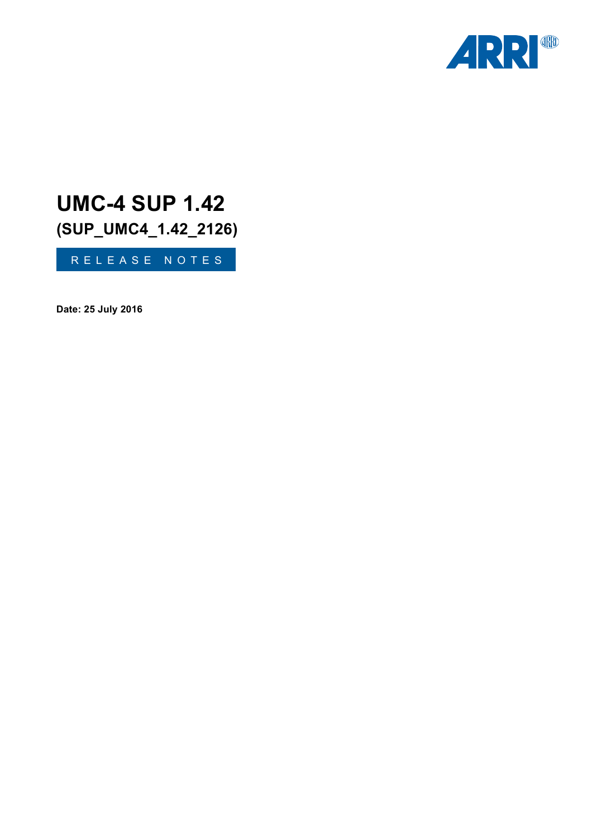

# **UMC-4 SUP 1.42 (SUP\_UMC4\_1.42\_2126)**

RELEASE NOTES

**Date: 25 July 2016**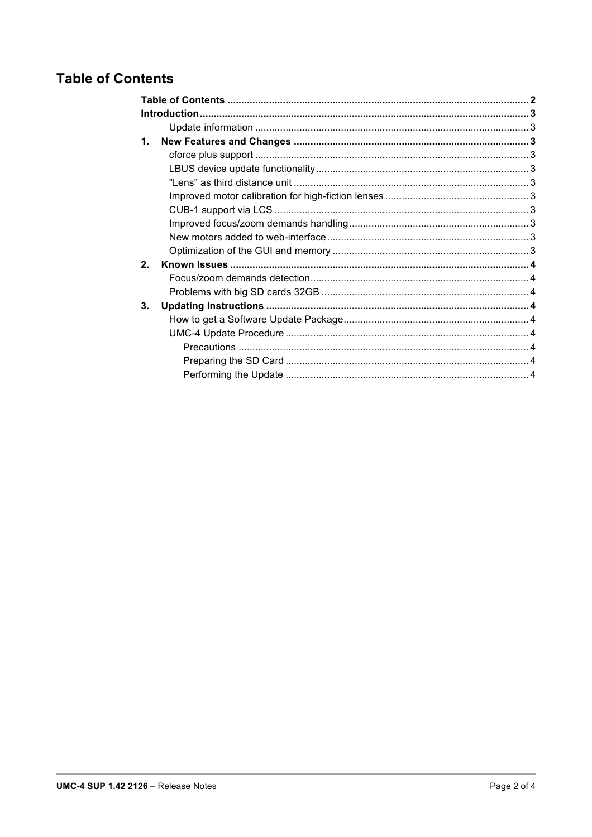# **Table of Contents**

| 1.             |  |  |
|----------------|--|--|
|                |  |  |
|                |  |  |
|                |  |  |
|                |  |  |
|                |  |  |
|                |  |  |
|                |  |  |
|                |  |  |
| 2 <sub>1</sub> |  |  |
|                |  |  |
|                |  |  |
| 3.             |  |  |
|                |  |  |
|                |  |  |
|                |  |  |
|                |  |  |
|                |  |  |
|                |  |  |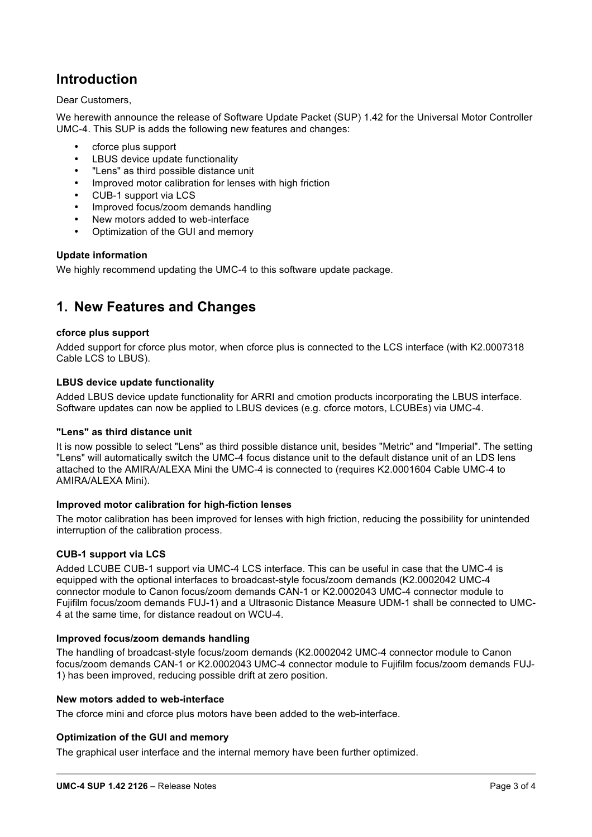# **Introduction**

# Dear Customers,

We herewith announce the release of Software Update Packet (SUP) 1.42 for the Universal Motor Controller UMC-4. This SUP is adds the following new features and changes:

- cforce plus support
- LBUS device update functionality
- "Lens" as third possible distance unit
- Improved motor calibration for lenses with high friction
- CUB-1 support via LCS
- Improved focus/zoom demands handling
- New motors added to web-interface
- Optimization of the GUI and memory

# **Update information**

We highly recommend updating the UMC-4 to this software update package.

# **1. New Features and Changes**

# **cforce plus support**

Added support for cforce plus motor, when cforce plus is connected to the LCS interface (with K2.0007318 Cable LCS to LBUS).

# **LBUS device update functionality**

Added LBUS device update functionality for ARRI and cmotion products incorporating the LBUS interface. Software updates can now be applied to LBUS devices (e.g. cforce motors, LCUBEs) via UMC-4.

# **"Lens" as third distance unit**

It is now possible to select "Lens" as third possible distance unit, besides "Metric" and "Imperial". The setting "Lens" will automatically switch the UMC-4 focus distance unit to the default distance unit of an LDS lens attached to the AMIRA/ALEXA Mini the UMC-4 is connected to (requires K2.0001604 Cable UMC-4 to AMIRA/ALEXA Mini).

# **Improved motor calibration for high-fiction lenses**

The motor calibration has been improved for lenses with high friction, reducing the possibility for unintended interruption of the calibration process.

# **CUB-1 support via LCS**

Added LCUBE CUB-1 support via UMC-4 LCS interface. This can be useful in case that the UMC-4 is equipped with the optional interfaces to broadcast-style focus/zoom demands (K2.0002042 UMC-4 connector module to Canon focus/zoom demands CAN-1 or K2.0002043 UMC-4 connector module to Fujifilm focus/zoom demands FUJ-1) and a Ultrasonic Distance Measure UDM-1 shall be connected to UMC-4 at the same time, for distance readout on WCU-4.

# **Improved focus/zoom demands handling**

The handling of broadcast-style focus/zoom demands (K2.0002042 UMC-4 connector module to Canon focus/zoom demands CAN-1 or K2.0002043 UMC-4 connector module to Fujifilm focus/zoom demands FUJ-1) has been improved, reducing possible drift at zero position.

#### **New motors added to web-interface**

The cforce mini and cforce plus motors have been added to the web-interface.

# **Optimization of the GUI and memory**

The graphical user interface and the internal memory have been further optimized.